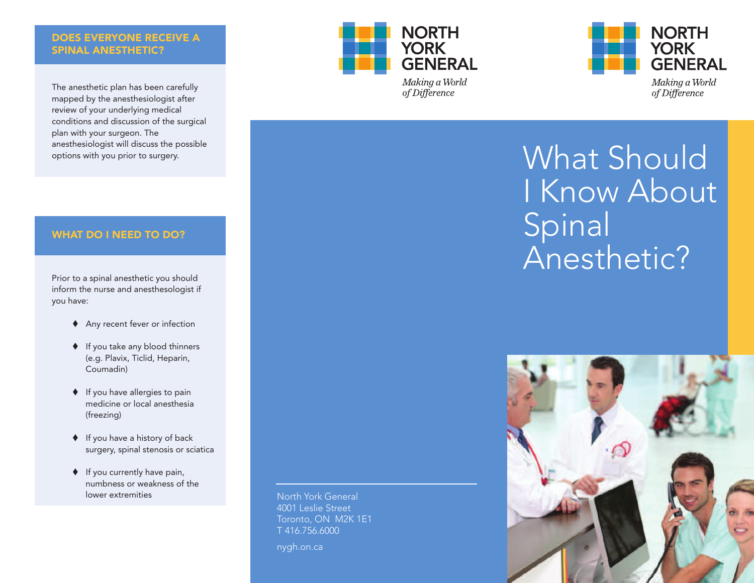## **DOES EVERYONE RECEIVE A SPINAL ANESTHETIC?**

The anesthetic plan has been carefully mapped by the anesthesiologist after review of your underlying medical conditions and discussion of the surgical plan with your surgeon. The anesthesiologist will discuss the possible options with you prior to surgery.





Making a World of Difference



# **WHAT DO I NEED TO DO?**

Prior to a spinal anesthetic you should inform the nurse and anesthesologist if you have:

- ◆ Any recent fever or infection
- ♦ If you take any blood thinners (e.g. Plavix, Ticlid, Heparin, Coumadin)
- $\blacklozenge$  If you have allergies to pain medicine or local anesthesia (freezing)
- If you have a history of back surgery, spinal stenosis or sciatica
- $\blacklozenge$  If you currently have pain, numbness or weakness of the lower extremities

North York General 4001 Leslie Street Toronto, ON M2K 1E1 T 416.756.6000

nygh.on.ca

Spinal Anesthetic?